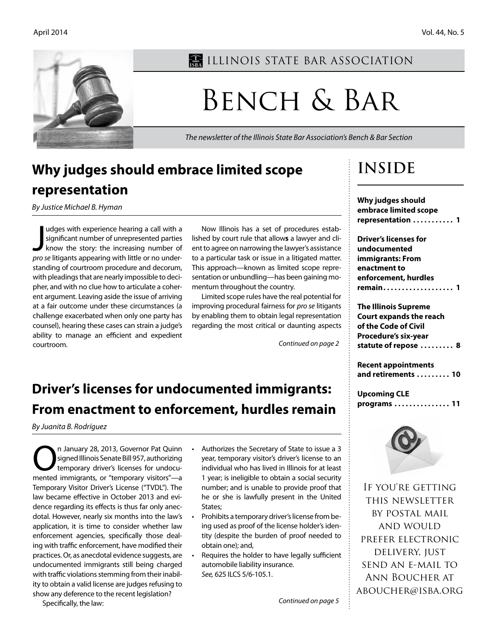

# **Why judges should embrace limited scope representation**

*By Justice Michael B. Hyman*

I udges with experience hearing a call with a<br>significant number of unrepresented parties<br>know the story: the increasing number of<br>are seliticants appearing with little or no underudges with experience hearing a call with a significant number of unrepresented parties *pro se* litigants appearing with little or no understanding of courtroom procedure and decorum, with pleadings that are nearly impossible to decipher, and with no clue how to articulate a coherent argument. Leaving aside the issue of arriving at a fair outcome under these circumstances (a challenge exacerbated when only one party has counsel), hearing these cases can strain a judge's ability to manage an efficient and expedient courtroom.

Now Illinois has a set of procedures established by court rule that allow**s** a lawyer and client to agree on narrowing the lawyer's assistance to a particular task or issue in a litigated matter. This approach—known as limited scope representation or unbundling—has been gaining momentum throughout the country.

Limited scope rules have the real potential for improving procedural fairness for *pro se* litigants by enabling them to obtain legal representation regarding the most critical or daunting aspects

*Continued on page 2*

## **Driver's licenses for undocumented immigrants: From enactment to enforcement, hurdles remain**

*By Juanita B. Rodríguez*

n January 28, 2013, Governor Pat Quinn<br>
signed Illinois Senate Bill 957, authorizing<br>
temporary driver's licenses for undocusigned Illinois Senate Bill 957, authorizing temporary driver's licenses for undocumented immigrants, or "temporary visitors"—a Temporary Visitor Driver's License ("TVDL"). The law became effective in October 2013 and evidence regarding its effects is thus far only anecdotal. However, nearly six months into the law's application, it is time to consider whether law enforcement agencies, specifically those dealing with traffic enforcement, have modified their practices. Or, as anecdotal evidence suggests, are undocumented immigrants still being charged with traffic violations stemming from their inability to obtain a valid license are judges refusing to show any deference to the recent legislation?

- Authorizes the Secretary of State to issue a 3 year, temporary visitor's driver's license to an individual who has lived in Illinois for at least 1 year; is ineligible to obtain a social security number; and is unable to provide proof that he or she is lawfully present in the United States;
- Prohibits a temporary driver's license from being used as proof of the license holder's identity (despite the burden of proof needed to obtain one); and,
- Requires the holder to have legally sufficient automobile liability insurance. *See,* 625 ILCS 5/6-105.1.

*Continued on page 5*

# **Inside**

**Why judges should embrace limited scope representation . . . . . . . . . . . 1**

**Driver's licenses for undocumented immigrants: From enactment to enforcement, hurdles remain . . . . . . . . . . . . . . . . . . . 1**

**The Illinois Supreme Court expands the reach of the Code of Civil Procedure's six-year statute of repose . . . . . . . . . 8**

**Recent appointments and retirements . . . . . . . . . 10**

**Upcoming CLE programs . . . . . . . . . . . . . . . 11**



If you're getting this newsletter by postal mail and would prefer electronic delivery, just send an e-mail to Ann Boucher at aboucher@isba.org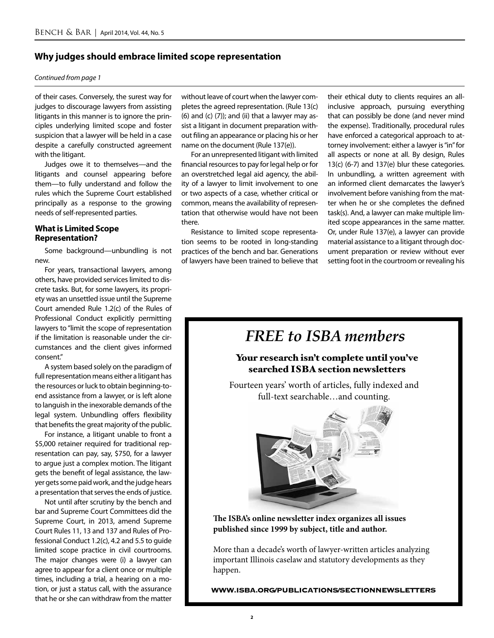### **Why judges should embrace limited scope representation**

#### *Continued from page 1*

of their cases. Conversely, the surest way for judges to discourage lawyers from assisting litigants in this manner is to ignore the principles underlying limited scope and foster suspicion that a lawyer will be held in a case despite a carefully constructed agreement with the litigant.

Judges owe it to themselves—and the litigants and counsel appearing before them—to fully understand and follow the rules which the Supreme Court established principally as a response to the growing needs of self-represented parties.

### **What is Limited Scope Representation?**

Some background—unbundling is not new.

For years, transactional lawyers, among others, have provided services limited to discrete tasks. But, for some lawyers, its propriety was an unsettled issue until the Supreme Court amended Rule 1.2(c) of the Rules of Professional Conduct explicitly permitting lawyers to "limit the scope of representation if the limitation is reasonable under the circumstances and the client gives informed consent."

A system based solely on the paradigm of full representation means either a litigant has the resources or luck to obtain beginning-toend assistance from a lawyer, or is left alone to languish in the inexorable demands of the legal system. Unbundling offers flexibility that benefits the great majority of the public.

For instance, a litigant unable to front a \$5,000 retainer required for traditional representation can pay, say, \$750, for a lawyer to argue just a complex motion. The litigant gets the benefit of legal assistance, the lawyer gets some paid work, and the judge hears a presentation that serves the ends of justice.

Not until after scrutiny by the bench and bar and Supreme Court Committees did the Supreme Court, in 2013, amend Supreme Court Rules 11, 13 and 137 and Rules of Professional Conduct 1.2(c), 4.2 and 5.5 to guide limited scope practice in civil courtrooms. The major changes were (i) a lawyer can agree to appear for a client once or multiple times, including a trial, a hearing on a motion, or just a status call, with the assurance that he or she can withdraw from the matter

without leave of court when the lawyer completes the agreed representation. (Rule 13(c) (6) and (c)  $(7)$ ); and (ii) that a lawyer may assist a litigant in document preparation without filing an appearance or placing his or her name on the document (Rule 137(e)).

For an unrepresented litigant with limited financial resources to pay for legal help or for an overstretched legal aid agency, the ability of a lawyer to limit involvement to one or two aspects of a case, whether critical or common, means the availability of representation that otherwise would have not been there.

Resistance to limited scope representation seems to be rooted in long-standing practices of the bench and bar. Generations of lawyers have been trained to believe that their ethical duty to clients requires an allinclusive approach, pursuing everything that can possibly be done (and never mind the expense). Traditionally, procedural rules have enforced a categorical approach to attorney involvement: either a lawyer is "in" for all aspects or none at all. By design, Rules 13(c) (6-7) and 137(e) blur these categories. In unbundling, a written agreement with an informed client demarcates the lawyer's involvement before vanishing from the matter when he or she completes the defined task(s). And, a lawyer can make multiple limited scope appearances in the same matter. Or, under Rule 137(e), a lawyer can provide material assistance to a litigant through document preparation or review without ever setting foot in the courtroom or revealing his

# *FREE to ISBA members*

## Your research isn't complete until you've searched ISBA section newsletters

Fourteen years' worth of articles, fully indexed and full-text searchable…and counting.



**The ISBA's online newsletter index organizes all issues published since 1999 by subject, title and author.** 

More than a decade's worth of lawyer-written articles analyzing important Illinois caselaw and statutory developments as they happen.

**WWW.ISBA.ORG/PUBLICATIONS/SECTIONNEWSLETTERS**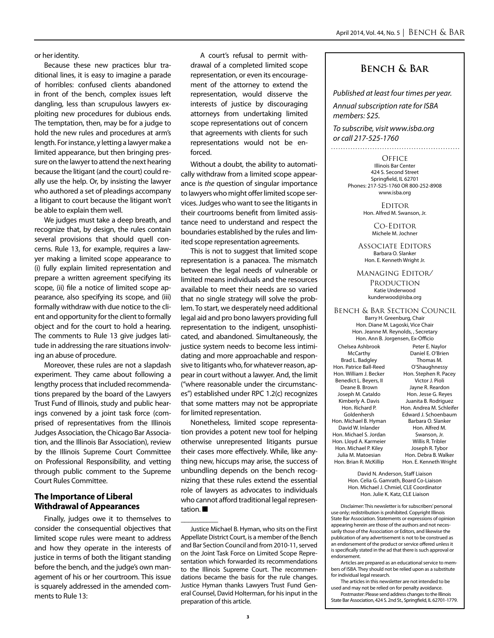or her identity.

Because these new practices blur traditional lines, it is easy to imagine a parade of horribles: confused clients abandoned in front of the bench, complex issues left dangling, less than scrupulous lawyers exploiting new procedures for dubious ends. The temptation, then, may be for a judge to hold the new rules and procedures at arm's length. For instance, y letting a lawyer make a limited appearance, but then bringing pressure on the lawyer to attend the next hearing because the litigant (and the court) could really use the help. Or, by insisting the lawyer who authored a set of pleadings accompany a litigant to court because the litigant won't be able to explain them well.

We judges must take a deep breath, and recognize that, by design, the rules contain several provisions that should quell concerns. Rule 13, for example, requires a lawyer making a limited scope appearance to (i) fully explain limited representation and prepare a written agreement specifying its scope, (ii) file a notice of limited scope appearance, also specifying its scope, and (iii) formally withdraw with due notice to the client and opportunity for the client to formally object and for the court to hold a hearing. The comments to Rule 13 give judges latitude in addressing the rare situations involving an abuse of procedure.

Moreover, these rules are not a slapdash experiment. They came about following a lengthy process that included recommendations prepared by the board of the Lawyers Trust Fund of Illinois, study and public hearings convened by a joint task force (comprised of representatives from the Illinois Judges Association, the Chicago Bar Association, and the Illinois Bar Association), review by the Illinois Supreme Court Committee on Professional Responsibility, and vetting through public comment to the Supreme Court Rules Committee.

### **The Importance of Liberal Withdrawal of Appearances**

Finally, judges owe it to themselves to consider the consequential objectives that limited scope rules were meant to address and how they operate in the interests of justice in terms of both the litigant standing before the bench, and the judge's own management of his or her courtroom. This issue is squarely addressed in the amended comments to Rule 13:

A court's refusal to permit withdrawal of a completed limited scope representation, or even its encouragement of the attorney to extend the representation, would disserve the interests of justice by discouraging attorneys from undertaking limited scope representations out of concern that agreements with clients for such representations would not be enforced.

Without a doubt, the ability to automatically withdraw from a limited scope appearance is *the* question of singular importance to lawyers who might offer limited scope services. Judges who want to see the litigants in their courtrooms benefit from limited assistance need to understand and respect the boundaries established by the rules and limited scope representation agreements.

This is not to suggest that limited scope representation is a panacea. The mismatch between the legal needs of vulnerable or limited means individuals and the resources available to meet their needs are so varied that no single strategy will solve the problem. To start, we desperately need additional legal aid and pro bono lawyers providing full representation to the indigent, unsophisticated, and abandoned. Simultaneously, the justice system needs to become less intimidating and more approachable and responsive to litigants who, for whatever reason, appear in court without a lawyer. And, the limit ("where reasonable under the circumstances") established under RPC 1.2(c) recognizes that some matters may not be appropriate for limited representation.

Nonetheless, limited scope representation provides a potent new tool for helping otherwise unrepresented litigants pursue their cases more effectively. While, like anything new, hiccups may arise, the success of unbundling depends on the bench recognizing that these rules extend the essential role of lawyers as advocates to individuals who cannot afford traditional legal representation. ■

\_\_\_\_\_\_\_\_\_\_

## **Bench & Bar**

*Published at least four times per year. Annual subscription rate for ISBA members: \$25.*

*To subscribe, visit www.isba.org or call 217-525-1760*

> **OFFICE** Illinois Bar Center 424 S. Second Street Springfield, IL 62701 Phones: 217-525-1760 OR 800-252-8908 www.isba.org

**EDITOR** Hon. Alfred M. Swanson, Jr.

> Co-Editor Michele M. Jochner

Associate Editors Barbara O. Slanker Hon. E. Kenneth Wright Jr.

Managing Editor/ **PRODUCTION** Katie Underwood kunderwood@isba.org

Bench & Bar Section Council Barry H. Greenburg, Chair Hon. Diane M. Lagoski, Vice Chair Hon. Jeanne M. Reynolds, , Secretary Hon. Ann B. Jorgensen, Ex-Officio Chelsea Ashbrook **McCarthy** Brad L. Badgley Hon. Patrice Ball-Reed Hon. William J. Becker Benedict L. Beyers, II Deane B. Brown Joseph M. Cataldo Kimberly A. Davis Hon. Richard P. Goldenhersh Hon. Michael B. Hyman David W. Inlander Hon. Michael S. Jordan Hon. Lloyd A. Karmeier Hon. Michael P. Kiley Julia M. Matoesian Hon. Brian R. McKillip Peter E. Naylor Daniel E. O'Brien Thomas M. O'Shaughnessy Hon. Stephen R. Pacey Victor J. Pioli Jayne R. Reardon Hon. Jesse G. Reyes Juanita B. Rodriguez Hon. Andrea M. Schleifer Edward J. Schoenbaum Barbara O. Slanker Hon. Alfred M. Swanson, Jr. Willis R. Tribler Joseph R. Tybor Hon. Debra B. Walker Hon. E. Kenneth Wright

> David N. Anderson, Staff Liaison Hon. Celia G. Gamrath, Board Co-Liaison Hon. Michael J. Chmiel, CLE Coordinator Hon. Julie K. Katz, CLE Liaison

Disclaimer: This newsletter is for subscribers' personal use only; redistribution is prohibited. Copyright Illinois State Bar Association. Statements or expressions of opinion appearing herein are those of the authors and not necessarily those of the Association or Editors, and likewise the publication of any advertisement is not to be construed as an endorsement of the product or service offered unless it is specifically stated in the ad that there is such approval or endorsement.

Articles are prepared as an educational service to members of ISBA. They should not be relied upon as a substitute for individual legal research.

The articles in this newsletter are not intended to be used and may not be relied on for penalty avoidance. Postmaster: Please send address changes to the Illinois

State Bar Association, 424 S. 2nd St., Springfield, IL 62701-1779.

Justice Michael B. Hyman, who sits on the First Appellate District Court, is a member of the Bench and Bar Section Council and from 2010-11, served on the Joint Task Force on Limited Scope Representation which forwarded its recommendations to the Illinois Supreme Court. The recommendations became the basis for the rule changes. Justice Hyman thanks Lawyers Trust Fund General Counsel, David Holterman, for his input in the preparation of this article.